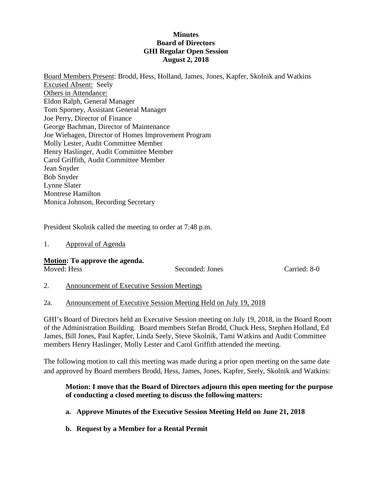## **Minutes Board of Directors GHI Regular Open Session August 2, 2018**

Board Members Present: Brodd, Hess, Holland, James, Jones, Kapfer, Skolnik and Watkins Excused Absent: Seely Others in Attendance: Eldon Ralph, General Manager Tom Sporney, Assistant General Manager Joe Perry, Director of Finance George Bachman, Director of Maintenance Joe Wiehagen, Director of Homes Improvement Program Molly Lester, Audit Committee Member Henry Haslinger, Audit Committee Member Carol Griffith, Audit Committee Member Jean Snyder Bob Snyder Lynne Slater Montrese Hamilton Monica Johnson, Recording Secretary

President Skolnik called the meeting to order at 7:48 p.m.

1. Approval of Agenda

### **Motion: To approve the agenda.**

Moved: Hess Seconded: Jones Carried: 8-0

2. Announcement of Executive Session Meetings

### 2a. Announcement of Executive Session Meeting Held on July 19, 2018

GHI's Board of Directors held an Executive Session meeting on July 19, 2018, in the Board Room of the Administration Building. Board members Stefan Brodd, Chuck Hess, Stephen Holland, Ed James, Bill Jones, Paul Kapfer, Linda Seely, Steve Skolnik, Tami Watkins and Audit Committee members Henry Haslinger, Molly Lester and Carol Griffith attended the meeting.

The following motion to call this meeting was made during a prior open meeting on the same date and approved by Board members Brodd, Hess, James, Jones, Kapfer, Seely, Skolnik and Watkins:

## **Motion: I move that the Board of Directors adjourn this open meeting for the purpose of conducting a closed meeting to discuss the following matters:**

- **a. Approve Minutes of the Executive Session Meeting Held on June 21, 2018**
- **b. Request by a Member for a Rental Permit**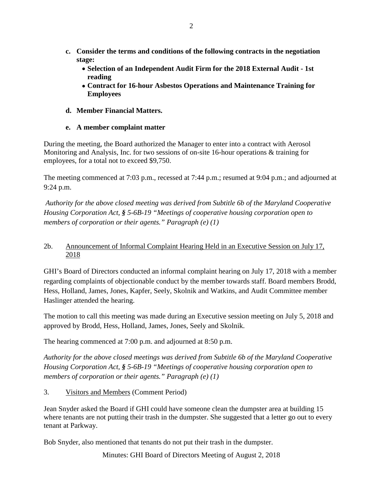- **c. Consider the terms and conditions of the following contracts in the negotiation stage:**
	- **Selection of an Independent Audit Firm for the 2018 External Audit - 1st reading**
	- **Contract for 16-hour Asbestos Operations and Maintenance Training for Employees**
- **d. Member Financial Matters.**

# **e. A member complaint matter**

During the meeting, the Board authorized the Manager to enter into a contract with Aerosol Monitoring and Analysis, Inc. for two sessions of on-site 16-hour operations & training for employees, for a total not to exceed \$9,750.

The meeting commenced at 7:03 p.m., recessed at 7:44 p.m.; resumed at 9:04 p.m.; and adjourned at 9:24 p.m.

*Authority for the above closed meeting was derived from Subtitle 6b of the Maryland Cooperative Housing Corporation Act, § 5-6B-19 "Meetings of cooperative housing corporation open to members of corporation or their agents." Paragraph (e) (1)*

# 2b. Announcement of Informal Complaint Hearing Held in an Executive Session on July 17, 2018

GHI's Board of Directors conducted an informal complaint hearing on July 17, 2018 with a member regarding complaints of objectionable conduct by the member towards staff. Board members Brodd, Hess, Holland, James, Jones, Kapfer, Seely, Skolnik and Watkins, and Audit Committee member Haslinger attended the hearing.

The motion to call this meeting was made during an Executive session meeting on July 5, 2018 and approved by Brodd, Hess, Holland, James, Jones, Seely and Skolnik.

The hearing commenced at 7:00 p.m. and adjourned at 8:50 p.m.

*Authority for the above closed meetings was derived from Subtitle 6b of the Maryland Cooperative Housing Corporation Act, § 5-6B-19 "Meetings of cooperative housing corporation open to members of corporation or their agents." Paragraph (e) (1)*

3. Visitors and Members (Comment Period)

Jean Snyder asked the Board if GHI could have someone clean the dumpster area at building 15 where tenants are not putting their trash in the dumpster. She suggested that a letter go out to every tenant at Parkway.

Bob Snyder, also mentioned that tenants do not put their trash in the dumpster.

Minutes: GHI Board of Directors Meeting of August 2, 2018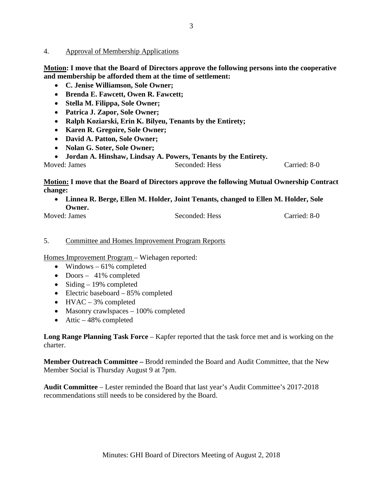#### 4. Approval of Membership Applications

**Motion: I move that the Board of Directors approve the following persons into the cooperative and membership be afforded them at the time of settlement:**

- **C. Jenise Williamson, Sole Owner;**
- **Brenda E. Fawcett, Owen R. Fawcett;**
- **Stella M. Filippa, Sole Owner;**
- **Patrica J. Zapor, Sole Owner;**
- **Ralph Koziarski, Erin K. Bilyeu, Tenants by the Entirety;**
- **Karen R. Gregoire, Sole Owner;**
- **David A. Patton, Sole Owner;**
- **Nolan G. Soter, Sole Owner;**
- **Jordan A. Hinshaw, Lindsay A. Powers, Tenants by the Entirety.**

Moved: James Seconded: Hess Carried: 8-0

## **Motion: I move that the Board of Directors approve the following Mutual Ownership Contract change:**

- **Linnea R. Berge, Ellen M. Holder, Joint Tenants, changed to Ellen M. Holder, Sole Owner.**
- Moved: James Seconded: Hess Carried: 8-0

### 5. Committee and Homes Improvement Program Reports

Homes Improvement Program – Wiehagen reported:

- Windows  $-61\%$  completed
- Doors 41% completed
- Siding  $-19\%$  completed
- Electric baseboard 85% completed
- $HVAC 3%$  completed
- Masonry crawlspaces 100% completed
- Attic  $-48\%$  completed

**Long Range Planning Task Force** – Kapfer reported that the task force met and is working on the charter.

**Member Outreach Committee –** Brodd reminded the Board and Audit Committee, that the New Member Social is Thursday August 9 at 7pm.

**Audit Committee** – Lester reminded the Board that last year's Audit Committee's 2017-2018 recommendations still needs to be considered by the Board.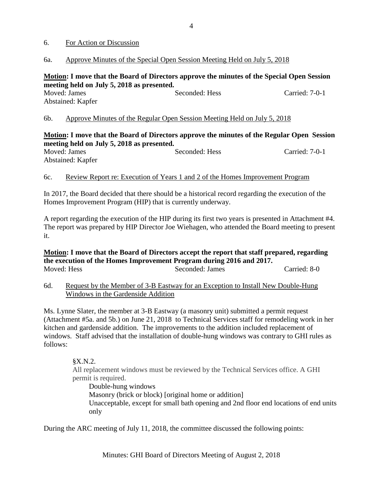#### 6. For Action or Discussion

#### 6a. Approve Minutes of the Special Open Session Meeting Held on July 5, 2018

## **Motion: I move that the Board of Directors approve the minutes of the Special Open Session meeting held on July 5, 2018 as presented.**

| Moved: James      | Seconded: Hess | Carried: 7-0-1 |
|-------------------|----------------|----------------|
| Abstained: Kapfer |                |                |

6b. Approve Minutes of the Regular Open Session Meeting Held on July 5, 2018

## **Motion: I move that the Board of Directors approve the minutes of the Regular Open Session meeting held on July 5, 2018 as presented.**

| Moved: James      | $\sim$ $\sim$ $\sim$ $\sim$ $\sim$ | Seconded: Hess | Carried: 7-0-1 |
|-------------------|------------------------------------|----------------|----------------|
| Abstained: Kapfer |                                    |                |                |

### 6c. Review Report re: Execution of Years 1 and 2 of the Homes Improvement Program

In 2017, the Board decided that there should be a historical record regarding the execution of the Homes Improvement Program (HIP) that is currently underway.

A report regarding the execution of the HIP during its first two years is presented in Attachment #4. The report was prepared by HIP Director Joe Wiehagen, who attended the Board meeting to present it.

### **Motion: I move that the Board of Directors accept the report that staff prepared, regarding the execution of the Homes Improvement Program during 2016 and 2017.** Moved: Hess Seconded: James Carried: 8-0

6d. Request by the Member of 3-B Eastway for an Exception to Install New Double-Hung Windows in the Gardenside Addition

Ms. Lynne Slater, the member at 3-B Eastway (a masonry unit) submitted a permit request (Attachment #5a. and 5b.) on June 21, 2018 to Technical Services staff for remodeling work in her kitchen and gardenside addition. The improvements to the addition included replacement of windows. Staff advised that the installation of double-hung windows was contrary to GHI rules as follows:

§X.N.2.

All replacement windows must be reviewed by the Technical Services office. A GHI permit is required.

Double-hung windows Masonry (brick or block) [original home or addition] Unacceptable, except for small bath opening and 2nd floor end locations of end units only

During the ARC meeting of July 11, 2018, the committee discussed the following points: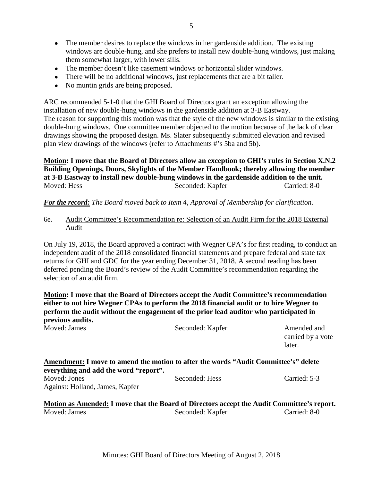- The member desires to replace the windows in her gardenside addition. The existing windows are double-hung, and she prefers to install new double-hung windows, just making them somewhat larger, with lower sills.
- The member doesn't like casement windows or horizontal slider windows.
- There will be no additional windows, just replacements that are a bit taller.
- No muntin grids are being proposed.

ARC recommended 5-1-0 that the GHI Board of Directors grant an exception allowing the installation of new double-hung windows in the gardenside addition at 3-B Eastway. The reason for supporting this motion was that the style of the new windows is similar to the existing double-hung windows. One committee member objected to the motion because of the lack of clear drawings showing the proposed design. Ms. Slater subsequently submitted elevation and revised plan view drawings of the windows (refer to Attachments #'s 5ba and 5b).

**Motion: I move that the Board of Directors allow an exception to GHI's rules in Section X.N.2 Building Openings, Doors, Skylights of the Member Handbook; thereby allowing the member at 3-B Eastway to install new double-hung windows in the gardenside addition to the unit.** Moved: Hess Seconded: Kapfer Carried: 8-0

# *For the record: The Board moved back to Item 4, Approval of Membership for clarification.*

6e. Audit Committee's Recommendation re: Selection of an Audit Firm for the 2018 External Audit

On July 19, 2018, the Board approved a contract with Wegner CPA's for first reading, to conduct an independent audit of the 2018 consolidated financial statements and prepare federal and state tax returns for GHI and GDC for the year ending December 31, 2018. A second reading has been deferred pending the Board's review of the Audit Committee's recommendation regarding the selection of an audit firm.

**Motion: I move that the Board of Directors accept the Audit Committee's recommendation either to not hire Wegner CPAs to perform the 2018 financial audit or to hire Wegner to perform the audit without the engagement of the prior lead auditor who participated in previous audits.** 

| Moved: James                          | Seconded: Kapfer                                                                    | Amended and<br>carried by a vote<br>later. |
|---------------------------------------|-------------------------------------------------------------------------------------|--------------------------------------------|
| everything and add the word "report". | Amendment: I move to amend the motion to after the words "Audit Committee's" delete |                                            |
| Moved: Jones                          | Seconded: Hess                                                                      | Carried: 5-3                               |
| Against: Holland, James, Kapfer       |                                                                                     |                                            |
|                                       |                                                                                     |                                            |

|              | <u>Motion as Amended:</u> I move that the Board of Directors accept the Audit Committee's report. |              |
|--------------|---------------------------------------------------------------------------------------------------|--------------|
| Moved: James | Seconded: Kapfer                                                                                  | Carried: 8-0 |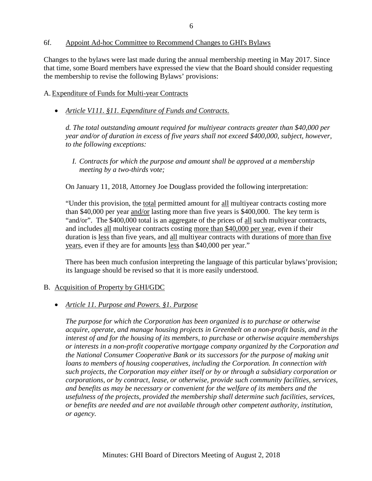### 6f. Appoint Ad-hoc Committee to Recommend Changes to GHI's Bylaws

Changes to the bylaws were last made during the annual membership meeting in May 2017. Since that time, some Board members have expressed the view that the Board should consider requesting the membership to revise the following Bylaws' provisions:

## A. Expenditure of Funds for Multi-year Contracts

• *Article V111. §11. Expenditure of Funds and Contracts*.

*d. The total outstanding amount required for multiyear contracts greater than \$40,000 per year and/or of duration in excess of five years shall not exceed \$400,000, subject, however, to the following exceptions:* 

*I. Contracts for which the purpose and amount shall be approved at a membership meeting by a two-thirds vote;*

On January 11, 2018, Attorney Joe Douglass provided the following interpretation:

"Under this provision, the total permitted amount for all multiyear contracts costing more than \$40,000 per year and/or lasting more than five years is \$400,000. The key term is "and/or". The \$400,000 total is an aggregate of the prices of all such multiyear contracts, and includes all multiyear contracts costing more than \$40,000 per year, even if their duration is less than five years, and all multiyear contracts with durations of more than five years, even if they are for amounts less than \$40,000 per year."

There has been much confusion interpreting the language of this particular bylaws'provision; its language should be revised so that it is more easily understood.

### B. Acquisition of Property by GHI/GDC

### • *Article 11. Purpose and Powers. §1. Purpose*

*The purpose for which the Corporation has been organized is to purchase or otherwise acquire, operate, and manage housing projects in Greenbelt on a non-profit basis, and in the interest of and for the housing of its members, to purchase or otherwise acquire memberships or interests in a non-profit cooperative mortgage company organized by the Corporation and the National Consumer Cooperative Bank or its successors for the purpose of making unit loans to members of housing cooperatives, including the Corporation. In connection with such projects, the Corporation may either itself or by or through a subsidiary corporation or corporations, or by contract, lease, or otherwise, provide such community facilities, services, and benefits as may be necessary or convenient for the welfare of its members and the usefulness of the projects, provided the membership shall determine such facilities, services, or benefits are needed and are not available through other competent authority, institution, or agency.*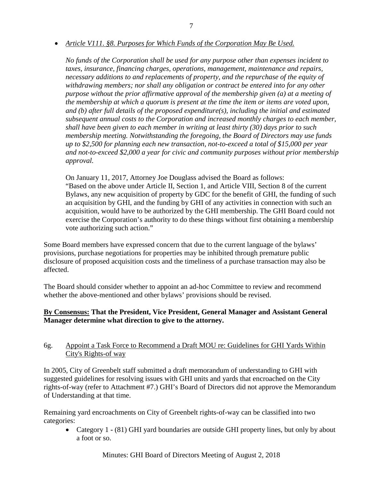• *Article V111. §8. Purposes for Which Funds of the Corporation May Be Used.*

*No funds of the Corporation shall be used for any purpose other than expenses incident to taxes, insurance, financing charges, operations, management, maintenance and repairs, necessary additions to and replacements of property, and the repurchase of the equity of withdrawing members; nor shall any obligation or contract be entered into for any other purpose without the prior affirmative approval of the membership given (a) at a meeting of the membership at which a quorum is present at the time the item or items are voted upon, and (b) after full details of the proposed expenditure(s), including the initial and estimated subsequent annual costs to the Corporation and increased monthly charges to each member, shall have been given to each member in writing at least thirty (30) days prior to such membership meeting. Notwithstanding the foregoing, the Board of Directors may use funds up to \$2,500 for planning each new transaction, not-to-exceed a total of \$15,000 per year and not-to-exceed \$2,000 a year for civic and community purposes without prior membership approval.*

On January 11, 2017, Attorney Joe Douglass advised the Board as follows: "Based on the above under Article II, Section 1, and Article VIII, Section 8 of the current Bylaws, any new acquisition of property by GDC for the benefit of GHI, the funding of such an acquisition by GHI, and the funding by GHI of any activities in connection with such an acquisition, would have to be authorized by the GHI membership. The GHI Board could not exercise the Corporation's authority to do these things without first obtaining a membership vote authorizing such action."

Some Board members have expressed concern that due to the current language of the bylaws' provisions, purchase negotiations for properties may be inhibited through premature public disclosure of proposed acquisition costs and the timeliness of a purchase transaction may also be affected.

The Board should consider whether to appoint an ad-hoc Committee to review and recommend whether the above-mentioned and other bylaws' provisions should be revised.

# **By Consensus: That the President, Vice President, General Manager and Assistant General Manager determine what direction to give to the attorney.**

## 6g. Appoint a Task Force to Recommend a Draft MOU re: Guidelines for GHI Yards Within City's Rights-of way

In 2005, City of Greenbelt staff submitted a draft memorandum of understanding to GHI with suggested guidelines for resolving issues with GHI units and yards that encroached on the City rights-of-way (refer to Attachment #7.) GHI's Board of Directors did not approve the Memorandum of Understanding at that time.

Remaining yard encroachments on City of Greenbelt rights-of-way can be classified into two categories:

• Category 1 **-** (81) GHI yard boundaries are outside GHI property lines, but only by about a foot or so.

Minutes: GHI Board of Directors Meeting of August 2, 2018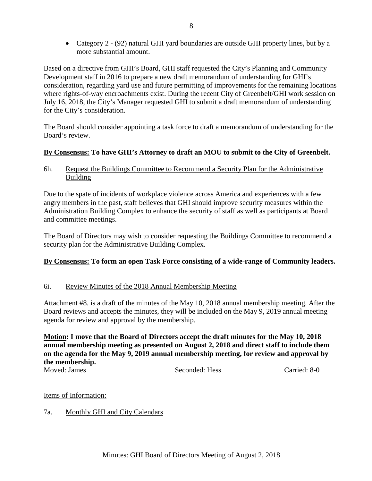• Category 2 **-** (92) natural GHI yard boundaries are outside GHI property lines, but by a more substantial amount.

Based on a directive from GHI's Board, GHI staff requested the City's Planning and Community Development staff in 2016 to prepare a new draft memorandum of understanding for GHI's consideration, regarding yard use and future permitting of improvements for the remaining locations where rights-of-way encroachments exist. During the recent City of Greenbelt/GHI work session on July 16, 2018, the City's Manager requested GHI to submit a draft memorandum of understanding for the City's consideration.

The Board should consider appointing a task force to draft a memorandum of understanding for the Board's review.

# **By Consensus: To have GHI's Attorney to draft an MOU to submit to the City of Greenbelt.**

6h. Request the Buildings Committee to Recommend a Security Plan for the Administrative Building

Due to the spate of incidents of workplace violence across America and experiences with a few angry members in the past, staff believes that GHI should improve security measures within the Administration Building Complex to enhance the security of staff as well as participants at Board and committee meetings.

The Board of Directors may wish to consider requesting the Buildings Committee to recommend a security plan for the Administrative Building Complex.

# **By Consensus: To form an open Task Force consisting of a wide-range of Community leaders.**

# 6i. Review Minutes of the 2018 Annual Membership Meeting

Attachment #8. is a draft of the minutes of the May 10, 2018 annual membership meeting. After the Board reviews and accepts the minutes, they will be included on the May 9, 2019 annual meeting agenda for review and approval by the membership.

## **Motion: I move that the Board of Directors accept the draft minutes for the May 10, 2018 annual membership meeting as presented on August 2, 2018 and direct staff to include them on the agenda for the May 9, 2019 annual membership meeting, for review and approval by the membership.**

Moved: James Seconded: Hess Carried: 8-0

# Items of Information:

# 7a. Monthly GHI and City Calendars